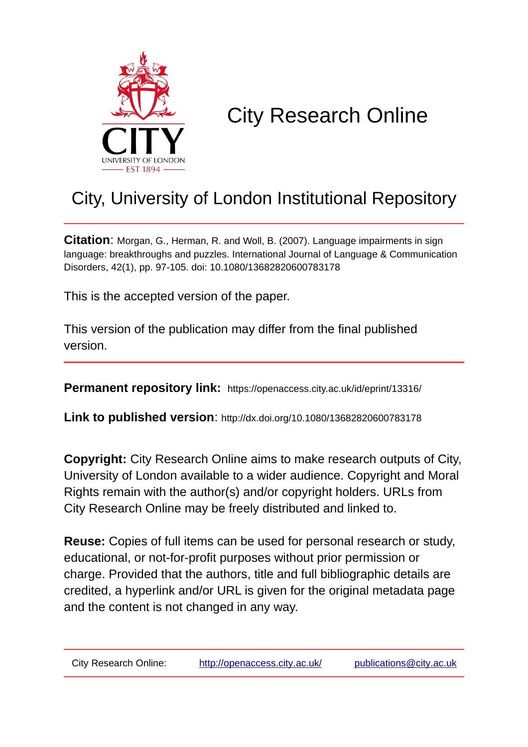

# City Research Online

## City, University of London Institutional Repository

**Citation**: Morgan, G., Herman, R. and Woll, B. (2007). Language impairments in sign language: breakthroughs and puzzles. International Journal of Language & Communication Disorders, 42(1), pp. 97-105. doi: 10.1080/13682820600783178

This is the accepted version of the paper.

This version of the publication may differ from the final published version.

**Permanent repository link:** https://openaccess.city.ac.uk/id/eprint/13316/

**Link to published version**: http://dx.doi.org/10.1080/13682820600783178

**Copyright:** City Research Online aims to make research outputs of City, University of London available to a wider audience. Copyright and Moral Rights remain with the author(s) and/or copyright holders. URLs from City Research Online may be freely distributed and linked to.

**Reuse:** Copies of full items can be used for personal research or study, educational, or not-for-profit purposes without prior permission or charge. Provided that the authors, title and full bibliographic details are credited, a hyperlink and/or URL is given for the original metadata page and the content is not changed in any way.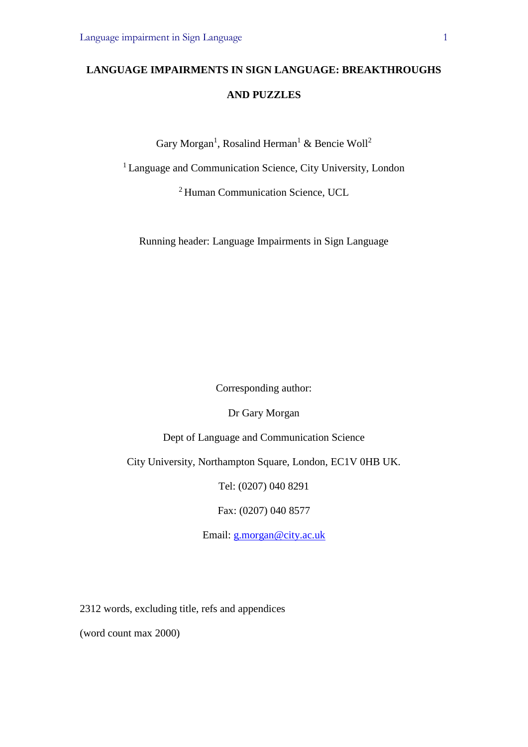## **LANGUAGE IMPAIRMENTS IN SIGN LANGUAGE: BREAKTHROUGHS AND PUZZLES**

Gary Morgan<sup>1</sup>, Rosalind Herman<sup>1</sup> & Bencie Woll<sup>2</sup>

<sup>1</sup> Language and Communication Science, City University, London

<sup>2</sup> Human Communication Science, UCL

Running header: Language Impairments in Sign Language

Corresponding author:

Dr Gary Morgan

Dept of Language and Communication Science

City University, Northampton Square, London, EC1V 0HB UK.

Tel: (0207) 040 8291

Fax: (0207) 040 8577

Email: [g.morgan@city.ac.uk](mailto:g.morgan@city.ac.uk)

2312 words, excluding title, refs and appendices

(word count max 2000)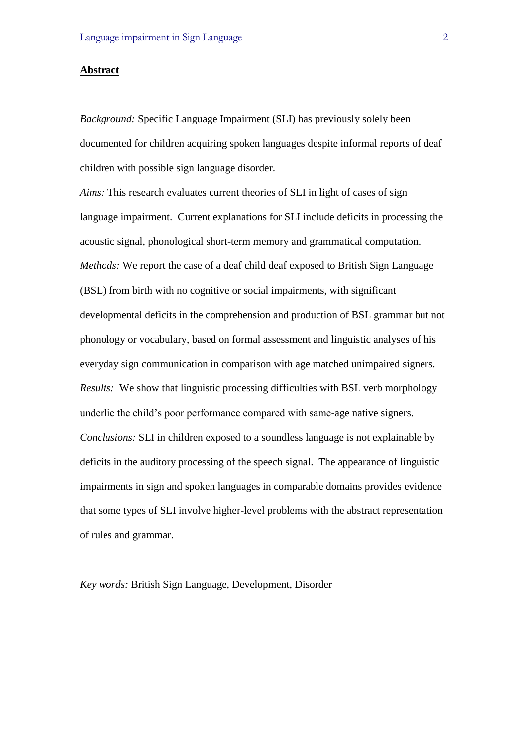#### **Abstract**

*Background:* Specific Language Impairment (SLI) has previously solely been documented for children acquiring spoken languages despite informal reports of deaf children with possible sign language disorder.

*Aims:* This research evaluates current theories of SLI in light of cases of sign language impairment. Current explanations for SLI include deficits in processing the acoustic signal, phonological short-term memory and grammatical computation. *Methods:* We report the case of a deaf child deaf exposed to British Sign Language (BSL) from birth with no cognitive or social impairments, with significant developmental deficits in the comprehension and production of BSL grammar but not phonology or vocabulary, based on formal assessment and linguistic analyses of his everyday sign communication in comparison with age matched unimpaired signers. *Results:* We show that linguistic processing difficulties with BSL verb morphology underlie the child's poor performance compared with same-age native signers. *Conclusions:* SLI in children exposed to a soundless language is not explainable by deficits in the auditory processing of the speech signal. The appearance of linguistic impairments in sign and spoken languages in comparable domains provides evidence that some types of SLI involve higher-level problems with the abstract representation of rules and grammar.

*Key words:* British Sign Language, Development, Disorder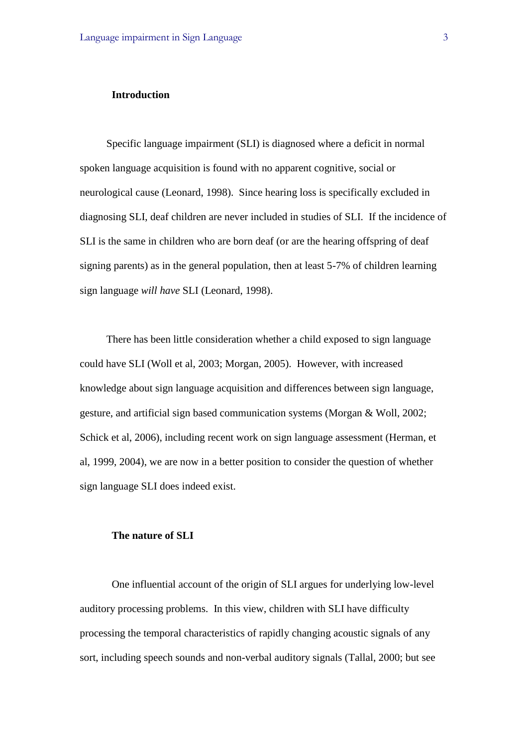#### **Introduction**

Specific language impairment (SLI) is diagnosed where a deficit in normal spoken language acquisition is found with no apparent cognitive, social or neurological cause (Leonard, 1998). Since hearing loss is specifically excluded in diagnosing SLI, deaf children are never included in studies of SLI. If the incidence of SLI is the same in children who are born deaf (or are the hearing offspring of deaf signing parents) as in the general population, then at least 5-7% of children learning sign language *will have* SLI (Leonard, 1998).

There has been little consideration whether a child exposed to sign language could have SLI (Woll et al, 2003; Morgan, 2005). However, with increased knowledge about sign language acquisition and differences between sign language, gesture, and artificial sign based communication systems (Morgan & Woll, 2002; Schick et al, 2006), including recent work on sign language assessment (Herman, et al, 1999, 2004), we are now in a better position to consider the question of whether sign language SLI does indeed exist.

#### **The nature of SLI**

One influential account of the origin of SLI argues for underlying low-level auditory processing problems. In this view, children with SLI have difficulty processing the temporal characteristics of rapidly changing acoustic signals of any sort, including speech sounds and non-verbal auditory signals (Tallal, 2000; but see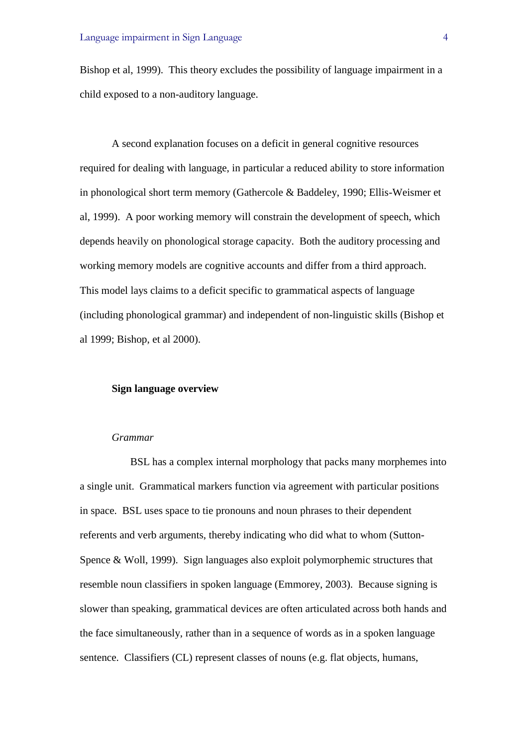Bishop et al, 1999). This theory excludes the possibility of language impairment in a child exposed to a non-auditory language.

A second explanation focuses on a deficit in general cognitive resources required for dealing with language, in particular a reduced ability to store information in phonological short term memory (Gathercole & Baddeley, 1990; Ellis-Weismer et al, 1999). A poor working memory will constrain the development of speech, which depends heavily on phonological storage capacity. Both the auditory processing and working memory models are cognitive accounts and differ from a third approach. This model lays claims to a deficit specific to grammatical aspects of language (including phonological grammar) and independent of non-linguistic skills (Bishop et al 1999; Bishop, et al 2000).

#### **Sign language overview**

#### *Grammar*

BSL has a complex internal morphology that packs many morphemes into a single unit. Grammatical markers function via agreement with particular positions in space. BSL uses space to tie pronouns and noun phrases to their dependent referents and verb arguments, thereby indicating who did what to whom (Sutton-Spence & Woll, 1999). Sign languages also exploit polymorphemic structures that resemble noun classifiers in spoken language (Emmorey, 2003). Because signing is slower than speaking, grammatical devices are often articulated across both hands and the face simultaneously, rather than in a sequence of words as in a spoken language sentence. Classifiers (CL) represent classes of nouns (e.g. flat objects, humans,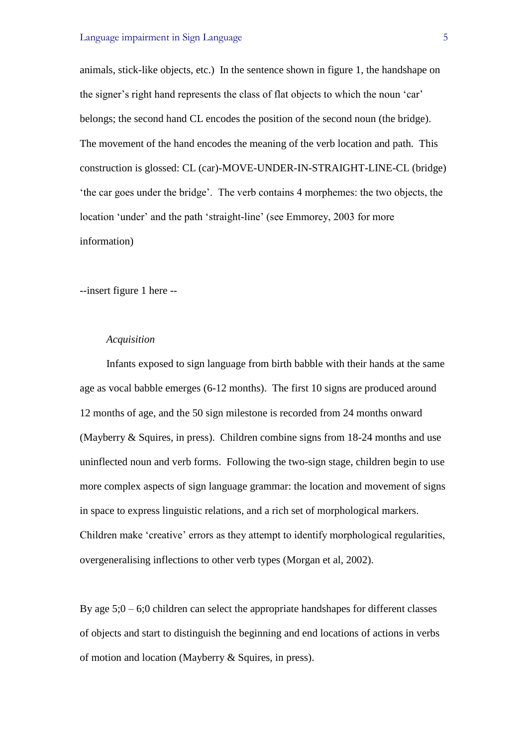animals, stick-like objects, etc.) In the sentence shown in figure 1, the handshape on the signer's right hand represents the class of flat objects to which the noun 'car' belongs; the second hand CL encodes the position of the second noun (the bridge). The movement of the hand encodes the meaning of the verb location and path. This construction is glossed: CL (car)-MOVE-UNDER-IN-STRAIGHT-LINE-CL (bridge) 'the car goes under the bridge'. The verb contains 4 morphemes: the two objects, the location 'under' and the path 'straight-line' (see Emmorey, 2003 for more information)

--insert figure 1 here --

#### *Acquisition*

Infants exposed to sign language from birth babble with their hands at the same age as vocal babble emerges (6-12 months). The first 10 signs are produced around 12 months of age, and the 50 sign milestone is recorded from 24 months onward (Mayberry & Squires, in press). Children combine signs from 18-24 months and use uninflected noun and verb forms. Following the two-sign stage, children begin to use more complex aspects of sign language grammar: the location and movement of signs in space to express linguistic relations, and a rich set of morphological markers. Children make 'creative' errors as they attempt to identify morphological regularities, overgeneralising inflections to other verb types (Morgan et al, 2002).

By age  $5;0 - 6;0$  children can select the appropriate handshapes for different classes of objects and start to distinguish the beginning and end locations of actions in verbs of motion and location (Mayberry & Squires, in press).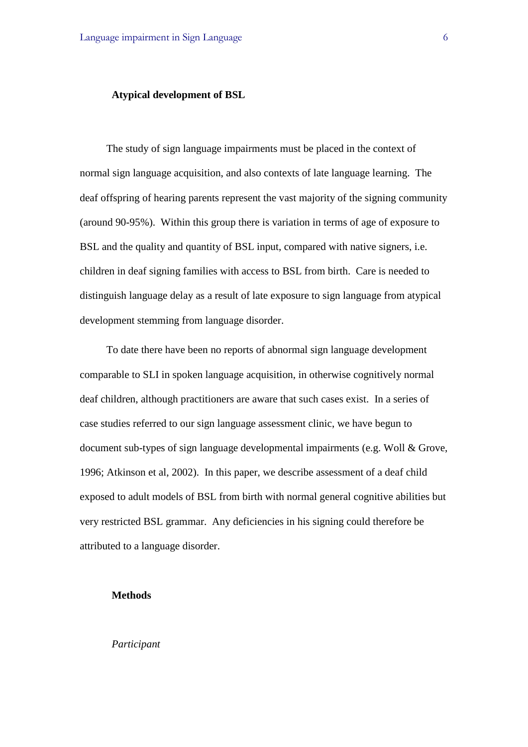#### **Atypical development of BSL**

The study of sign language impairments must be placed in the context of normal sign language acquisition, and also contexts of late language learning. The deaf offspring of hearing parents represent the vast majority of the signing community (around 90-95%). Within this group there is variation in terms of age of exposure to BSL and the quality and quantity of BSL input, compared with native signers, i.e. children in deaf signing families with access to BSL from birth. Care is needed to distinguish language delay as a result of late exposure to sign language from atypical development stemming from language disorder.

To date there have been no reports of abnormal sign language development comparable to SLI in spoken language acquisition, in otherwise cognitively normal deaf children, although practitioners are aware that such cases exist. In a series of case studies referred to our sign language assessment clinic, we have begun to document sub-types of sign language developmental impairments (e.g. Woll & Grove, 1996; Atkinson et al, 2002). In this paper, we describe assessment of a deaf child exposed to adult models of BSL from birth with normal general cognitive abilities but very restricted BSL grammar. Any deficiencies in his signing could therefore be attributed to a language disorder.

#### **Methods**

*Participant*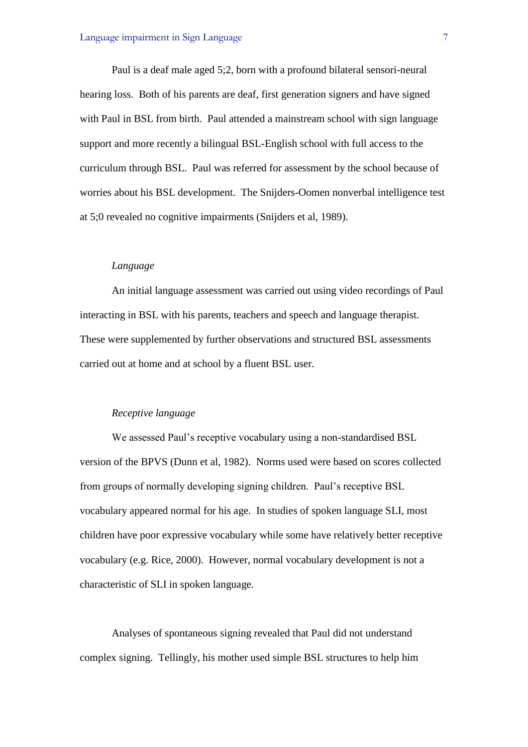Paul is a deaf male aged 5;2, born with a profound bilateral sensori-neural hearing loss. Both of his parents are deaf, first generation signers and have signed with Paul in BSL from birth. Paul attended a mainstream school with sign language support and more recently a bilingual BSL-English school with full access to the curriculum through BSL. Paul was referred for assessment by the school because of worries about his BSL development. The Snijders-Oomen nonverbal intelligence test at 5;0 revealed no cognitive impairments (Snijders et al, 1989).

#### *Language*

An initial language assessment was carried out using video recordings of Paul interacting in BSL with his parents, teachers and speech and language therapist. These were supplemented by further observations and structured BSL assessments carried out at home and at school by a fluent BSL user.

#### *Receptive language*

We assessed Paul's receptive vocabulary using a non-standardised BSL version of the BPVS (Dunn et al, 1982). Norms used were based on scores collected from groups of normally developing signing children. Paul's receptive BSL vocabulary appeared normal for his age. In studies of spoken language SLI, most children have poor expressive vocabulary while some have relatively better receptive vocabulary (e.g. Rice, 2000). However, normal vocabulary development is not a characteristic of SLI in spoken language.

Analyses of spontaneous signing revealed that Paul did not understand complex signing. Tellingly, his mother used simple BSL structures to help him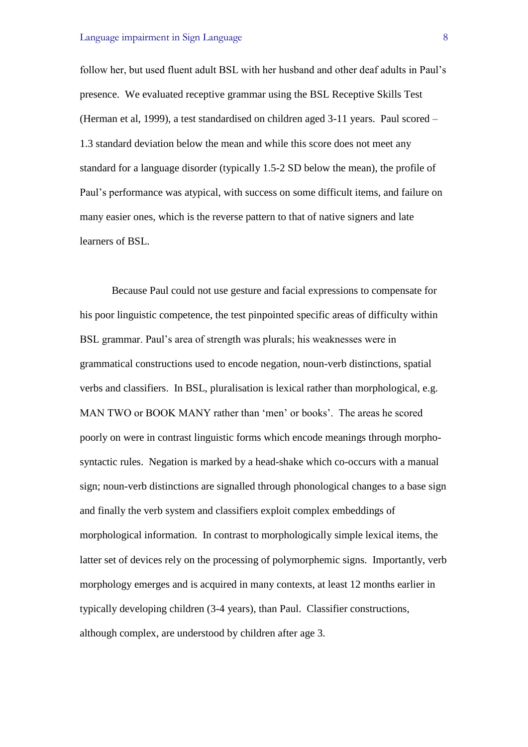follow her, but used fluent adult BSL with her husband and other deaf adults in Paul's presence. We evaluated receptive grammar using the BSL Receptive Skills Test (Herman et al, 1999), a test standardised on children aged 3-11 years. Paul scored – 1.3 standard deviation below the mean and while this score does not meet any standard for a language disorder (typically 1.5-2 SD below the mean), the profile of Paul's performance was atypical, with success on some difficult items, and failure on many easier ones, which is the reverse pattern to that of native signers and late learners of BSL.

Because Paul could not use gesture and facial expressions to compensate for his poor linguistic competence, the test pinpointed specific areas of difficulty within BSL grammar. Paul's area of strength was plurals; his weaknesses were in grammatical constructions used to encode negation, noun-verb distinctions, spatial verbs and classifiers. In BSL, pluralisation is lexical rather than morphological, e.g. MAN TWO or BOOK MANY rather than 'men' or books'. The areas he scored poorly on were in contrast linguistic forms which encode meanings through morphosyntactic rules. Negation is marked by a head-shake which co-occurs with a manual sign; noun-verb distinctions are signalled through phonological changes to a base sign and finally the verb system and classifiers exploit complex embeddings of morphological information. In contrast to morphologically simple lexical items, the latter set of devices rely on the processing of polymorphemic signs. Importantly, verb morphology emerges and is acquired in many contexts, at least 12 months earlier in typically developing children (3-4 years), than Paul. Classifier constructions, although complex, are understood by children after age 3.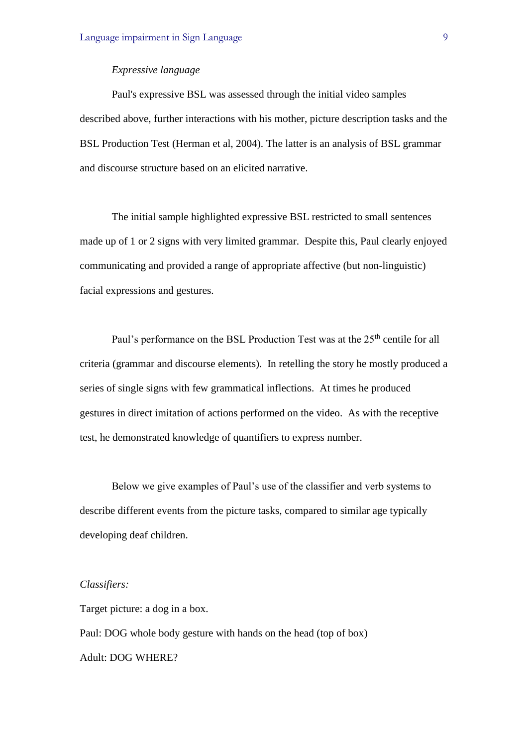#### *Expressive language*

Paul's expressive BSL was assessed through the initial video samples described above, further interactions with his mother, picture description tasks and the BSL Production Test (Herman et al, 2004). The latter is an analysis of BSL grammar and discourse structure based on an elicited narrative.

The initial sample highlighted expressive BSL restricted to small sentences made up of 1 or 2 signs with very limited grammar. Despite this, Paul clearly enjoyed communicating and provided a range of appropriate affective (but non-linguistic) facial expressions and gestures.

Paul's performance on the BSL Production Test was at the 25<sup>th</sup> centile for all criteria (grammar and discourse elements). In retelling the story he mostly produced a series of single signs with few grammatical inflections. At times he produced gestures in direct imitation of actions performed on the video. As with the receptive test, he demonstrated knowledge of quantifiers to express number.

Below we give examples of Paul's use of the classifier and verb systems to describe different events from the picture tasks, compared to similar age typically developing deaf children.

#### *Classifiers:*

Target picture: a dog in a box.

Paul: DOG whole body gesture with hands on the head (top of box) Adult: DOG WHERE?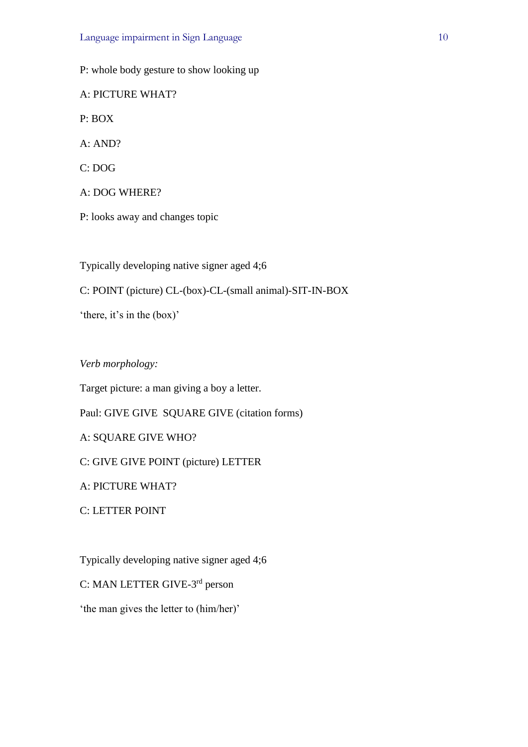P: whole body gesture to show looking up A: PICTURE WHAT? P: BOX A: AND? C: DOG A: DOG WHERE? P: looks away and changes topic

Typically developing native signer aged 4;6

C: POINT (picture) CL-(box)-CL-(small animal)-SIT-IN-BOX

'there, it's in the (box)'

*Verb morphology:*

Target picture: a man giving a boy a letter.

Paul: GIVE GIVE SQUARE GIVE (citation forms)

A: SQUARE GIVE WHO?

C: GIVE GIVE POINT (picture) LETTER

A: PICTURE WHAT?

C: LETTER POINT

Typically developing native signer aged 4;6

C: MAN LETTER GIVE-3<sup>rd</sup> person

'the man gives the letter to (him/her)'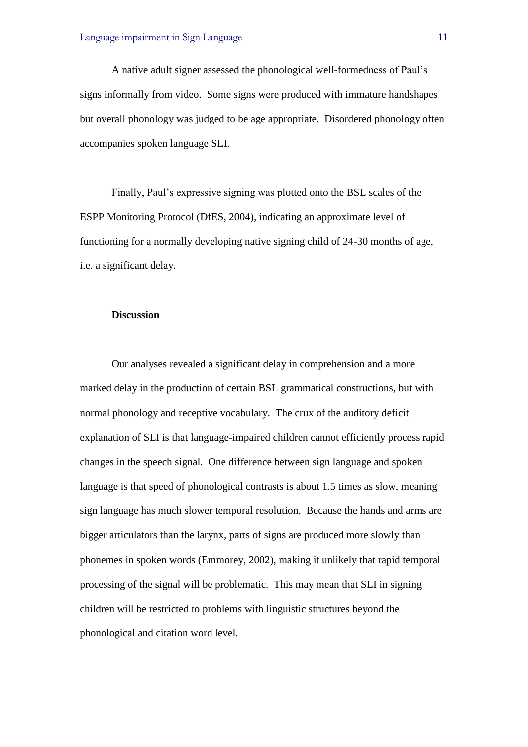A native adult signer assessed the phonological well-formedness of Paul's signs informally from video. Some signs were produced with immature handshapes but overall phonology was judged to be age appropriate. Disordered phonology often accompanies spoken language SLI.

Finally, Paul's expressive signing was plotted onto the BSL scales of the ESPP Monitoring Protocol (DfES, 2004), indicating an approximate level of functioning for a normally developing native signing child of 24-30 months of age, i.e. a significant delay.

#### **Discussion**

Our analyses revealed a significant delay in comprehension and a more marked delay in the production of certain BSL grammatical constructions, but with normal phonology and receptive vocabulary. The crux of the auditory deficit explanation of SLI is that language-impaired children cannot efficiently process rapid changes in the speech signal. One difference between sign language and spoken language is that speed of phonological contrasts is about 1.5 times as slow, meaning sign language has much slower temporal resolution. Because the hands and arms are bigger articulators than the larynx, parts of signs are produced more slowly than phonemes in spoken words (Emmorey, 2002), making it unlikely that rapid temporal processing of the signal will be problematic. This may mean that SLI in signing children will be restricted to problems with linguistic structures beyond the phonological and citation word level.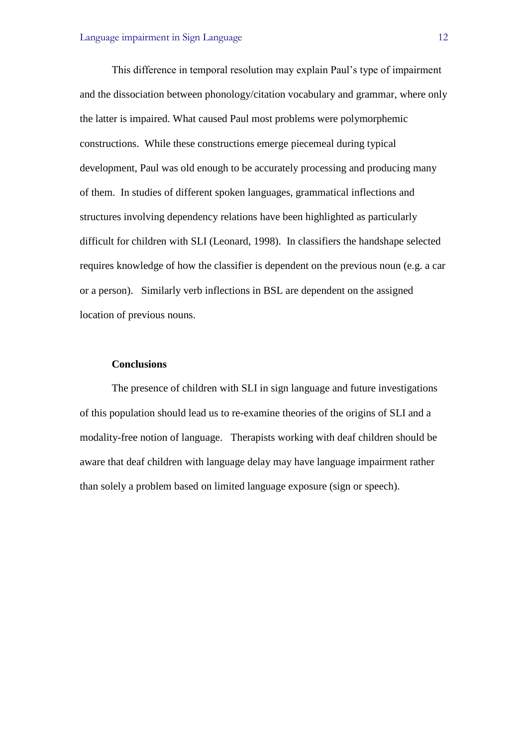This difference in temporal resolution may explain Paul's type of impairment and the dissociation between phonology/citation vocabulary and grammar, where only the latter is impaired. What caused Paul most problems were polymorphemic constructions. While these constructions emerge piecemeal during typical development, Paul was old enough to be accurately processing and producing many of them. In studies of different spoken languages, grammatical inflections and structures involving dependency relations have been highlighted as particularly difficult for children with SLI (Leonard, 1998). In classifiers the handshape selected requires knowledge of how the classifier is dependent on the previous noun (e.g. a car or a person). Similarly verb inflections in BSL are dependent on the assigned location of previous nouns.

#### **Conclusions**

The presence of children with SLI in sign language and future investigations of this population should lead us to re-examine theories of the origins of SLI and a modality-free notion of language. Therapists working with deaf children should be aware that deaf children with language delay may have language impairment rather than solely a problem based on limited language exposure (sign or speech).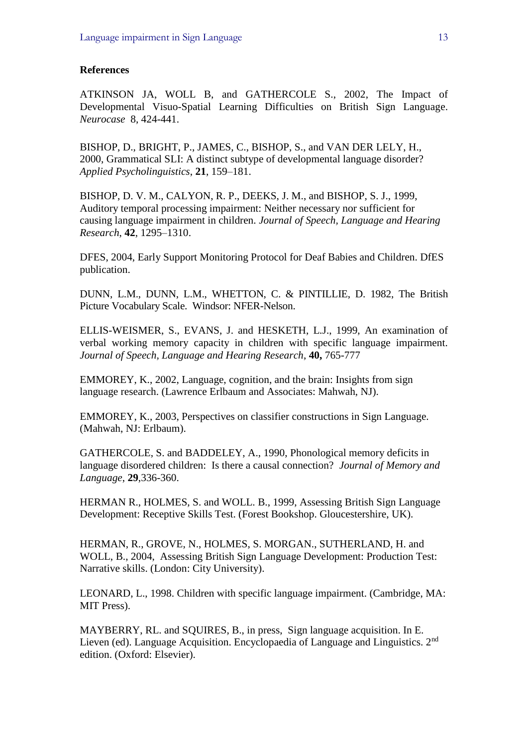#### **References**

ATKINSON JA, WOLL B, and GATHERCOLE S., 2002, The Impact of Developmental Visuo-Spatial Learning Difficulties on British Sign Language. *Neurocase* 8, 424-441.

BISHOP, D., BRIGHT, P., JAMES, C., BISHOP, S., and VAN DER LELY, H., 2000, Grammatical SLI: A distinct subtype of developmental language disorder? *Applied Psycholinguistics*, **21**, 159–181.

BISHOP, D. V. M., CALYON, R. P., DEEKS, J. M., and BISHOP, S. J., 1999, Auditory temporal processing impairment: Neither necessary nor sufficient for causing language impairment in children. *Journal of Speech, Language and Hearing Research*, **42**, 1295–1310.

DFES, 2004, Early Support Monitoring Protocol for Deaf Babies and Children. DfES publication.

DUNN, L.M., DUNN, L.M., WHETTON, C. & PINTILLIE, D. 1982, The British Picture Vocabulary Scale. Windsor: NFER-Nelson.

ELLIS-WEISMER, S., EVANS, J. and HESKETH, L.J., 1999, An examination of verbal working memory capacity in children with specific language impairment. *Journal of Speech, Language and Hearing Research*, **40,** 765-777

EMMOREY, K., 2002, Language, cognition, and the brain: Insights from sign language research. (Lawrence Erlbaum and Associates: Mahwah, NJ).

EMMOREY, K., 2003, Perspectives on classifier constructions in Sign Language. (Mahwah, NJ: Erlbaum).

GATHERCOLE, S. and BADDELEY, A., 1990, Phonological memory deficits in language disordered children: Is there a causal connection? *Journal of Memory and Language*, **29**,336-360.

HERMAN R., HOLMES, S. and WOLL. B., 1999, Assessing British Sign Language Development: Receptive Skills Test. (Forest Bookshop. Gloucestershire, UK).

HERMAN, R., GROVE, N., HOLMES, S. MORGAN., SUTHERLAND, H. and WOLL, B., 2004, Assessing British Sign Language Development: Production Test: Narrative skills. (London: City University).

LEONARD, L., 1998. Children with specific language impairment. (Cambridge, MA: MIT Press).

MAYBERRY, RL. and SQUIRES, B., in press, Sign language acquisition. In E. Lieven (ed). Language Acquisition. Encyclopaedia of Language and Linguistics. 2nd edition. (Oxford: Elsevier).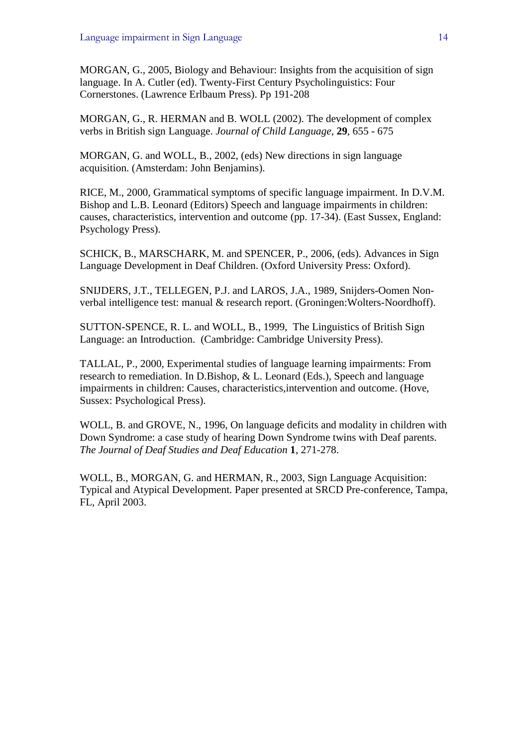MORGAN, G., 2005, Biology and Behaviour: Insights from the acquisition of sign language. In A. Cutler (ed). Twenty-First Century Psycholinguistics: Four Cornerstones. (Lawrence Erlbaum Press). Pp 191-208

MORGAN, G., R. HERMAN and B. WOLL (2002). The development of complex verbs in British sign Language. *Journal of Child Language*, **29**, 655 - 675

MORGAN, G. and WOLL, B., 2002, (eds) New directions in sign language acquisition. (Amsterdam: John Benjamins).

RICE, M., 2000, Grammatical symptoms of specific language impairment. In D.V.M. Bishop and L.B. Leonard (Editors) Speech and language impairments in children: causes, characteristics, intervention and outcome (pp. 17-34). (East Sussex, England: Psychology Press).

SCHICK, B., MARSCHARK, M. and SPENCER, P., 2006, (eds). Advances in Sign Language Development in Deaf Children. (Oxford University Press: Oxford).

SNIJDERS, J.T., TELLEGEN, P.J. and LAROS, J.A., 1989, Snijders-Oomen Nonverbal intelligence test: manual & research report. (Groningen:Wolters-Noordhoff).

SUTTON-SPENCE, R. L. and WOLL, B., 1999, The Linguistics of British Sign Language: an Introduction. (Cambridge: Cambridge University Press).

TALLAL, P., 2000, Experimental studies of language learning impairments: From research to remediation. In D.Bishop, & L. Leonard (Eds.), Speech and language impairments in children: Causes, characteristics,intervention and outcome. (Hove, Sussex: Psychological Press).

WOLL, B. and GROVE, N., 1996, On language deficits and modality in children with Down Syndrome: a case study of hearing Down Syndrome twins with Deaf parents. *The Journal of Deaf Studies and Deaf Education* **1**, 271-278.

WOLL, B., MORGAN, G. and HERMAN, R., 2003, Sign Language Acquisition: Typical and Atypical Development. Paper presented at SRCD Pre-conference, Tampa, FL, April 2003.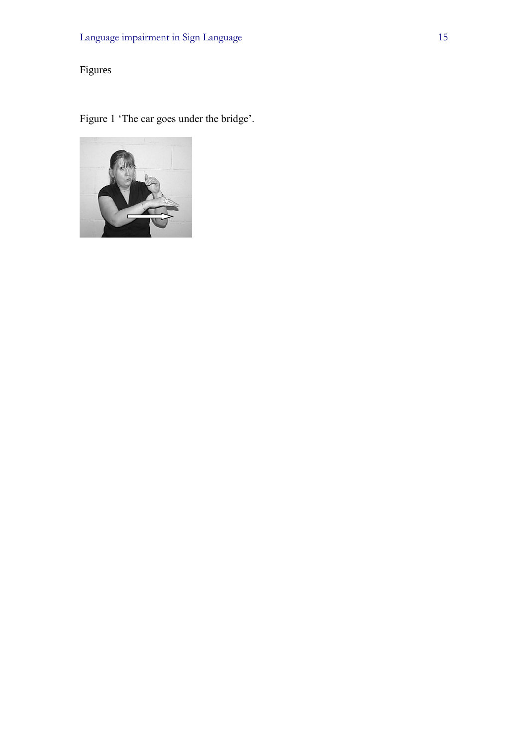### Figures

Figure 1 'The car goes under the bridge'.